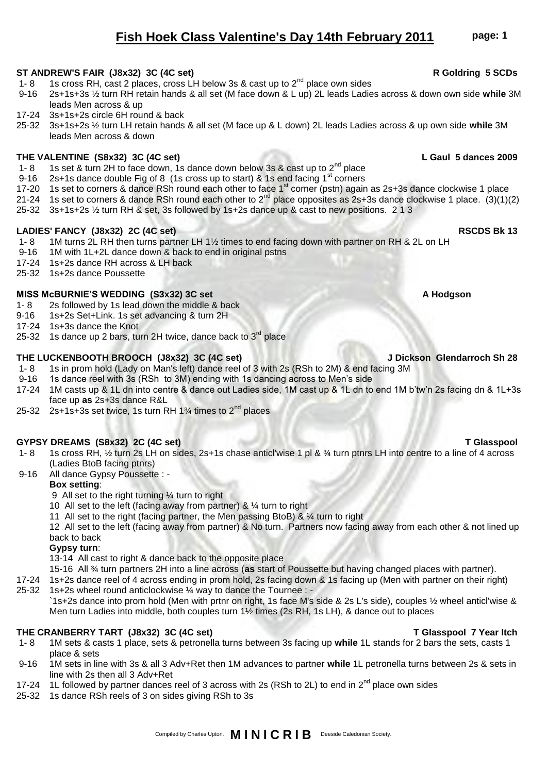# 17-20 1s set to corners & dance RSh round each other to face 1<sup>st</sup> corner (pstn) again as 2s+3s dance clockwise 1 place

- 21-24 1s set to corners & dance RSh round each other to  $2^{nd}$  place opposites as 2s+3s dance clockwise 1 place. (3)(1)(2) 25-32 3s+1s+2s ½ turn RH & set, 3s followed by 1s+2s dance up & cast to new positions. 2 1 3
- 

1- 8 1s cross RH, cast 2 places, cross LH below 3s & cast up to 2<sup>nd</sup> place own sides<br>9-16 2s+1s+3s ½ turn RH retain hands & all set (M face down & L up) 2L leads Ladie

1- 8 1s set & turn 2H to face down, 1s dance down below 3s & cast up to  $2^{nd}$  place 9-16 2s+1s dance double Fig of 8 (1s cross up to start) & 1s end facing  $1^{st}$  corners

## **LADIES' FANCY (J8x32) 2C (4C set) RSCDS Bk 13**

leads Men across & up 17-24 3s+1s+2s circle 6H round & back

leads Men across & down

- 1- 8 1M turns 2L RH then turns partner LH 1½ times to end facing down with partner on RH & 2L on LH
- 9-16 1M with 1L+2L dance down & back to end in original pstns
- 17-24 1s+2s dance RH across & LH back
- 25-32 1s+2s dance Poussette

### MISS McBURNIE'S WEDDING (S3x32) 3C set A Hodgson A Hodgson

- 1- 8 2s followed by 1s lead down the middle & back<br>9-16 1s+2s Set+Link. 1s set advancing & turn 2H
- 1s+2s Set+Link. 1s set advancing & turn 2H
- 17-24 1s+3s dance the Knot
- 25-32 1s dance up 2 bars, turn 2H twice, dance back to  $3^{rd}$  place

## **THE LUCKENBOOTH BROOCH (J8x32) 3C (4C set) J Dickson Glendarroch Sh 28**

- 1- 8 1s in prom hold (Lady on Man's left) dance reel of 3 with 2s (RSh to 2M) & end facing 3M<br>9-16 1s dance reel with 3s (RSh to 3M) ending with 1s dancing across to Men's side
- 1s dance reel with 3s (RSh to 3M) ending with 1s dancing across to Men's side
- 17-24 1M casts up & 1L dn into centre & dance out Ladies side, 1M cast up & 1L dn to end 1M b'tw'n 2s facing dn & 1L+3s face up **as** 2s+3s dance R&L
- 25-32 2s+1s+3s set twice, 1s turn RH  $1\frac{3}{4}$  times to  $2^{nd}$  places

## **GYPSY DREAMS (S8x32) 2C (4C set) T Glasspool**

- 1- 8 1s cross RH, ½ turn 2s LH on sides, 2s+1s chase anticl'wise 1 pl & ¾ turn ptnrs LH into centre to a line of 4 across (Ladies BtoB facing ptnrs)
- 9-16 All dance Gypsy Poussette : -

## **Box setting**:

9 All set to the right turning ¼ turn to right

- 10 All set to the left (facing away from partner) & ¼ turn to right
- 11 All set to the right (facing partner, the Men passing BtoB) & ¼ turn to right

12 All set to the left (facing away from partner) & No turn. Partners now facing away from each other & not lined up back to back

### **Gypsy turn**:

13-14 All cast to right & dance back to the opposite place

15-16 All ¾ turn partners 2H into a line across (**as** start of Poussette but having changed places with partner).

- 17-24 1s+2s dance reel of 4 across ending in prom hold, 2s facing down & 1s facing up (Men with partner on their right)
- 25-32 1s+2s wheel round anticlockwise ¼ way to dance the Tournee : -

`1s+2s dance into prom hold (Men with prtnr on right, 1s face M's side & 2s L's side), couples ½ wheel anticl'wise & Men turn Ladies into middle, both couples turn 1½ times (2s RH, 1s LH), & dance out to places

## **THE CRANBERRY TART (J8x32) 3C (4C set) T Glasspool 7 Year Itch**

- 1- 8 1M sets & casts 1 place, sets & petronella turns between 3s facing up **while** 1L stands for 2 bars the sets, casts 1 place & sets
- 9-16 1M sets in line with 3s & all 3 Adv+Ret then 1M advances to partner **while** 1L petronella turns between 2s & sets in line with 2s then all 3 Adv+Ret
- 17-24 1L followed by partner dances reel of 3 across with 2s (RSh to 2L) to end in  $2^{nd}$  place own sides
- 25-32 1s dance RSh reels of 3 on sides giving RSh to 3s

# **Fish Hoek Class Valentine's Day 14th February 2011 page: 1**

25-32 3s+1s+2s ½ turn LH retain hands & all set (M face up & L down) 2L leads Ladies across & up own side **while** 3M

9-16 2s+1s+3s ½ turn RH retain hands & all set (M face down & L up) 2L leads Ladies across & down own side **while** 3M

Compiled by Charles Upton. **M I N I C R I B** Deeside Caledonian Society.

# **THE VALENTINE (S8x32) 3C (4C set) L Gaul 5 dances 2009**

### ST ANDREW'S FAIR (J8x32) 3C (4C set) **R** Goldring 5 SCDs